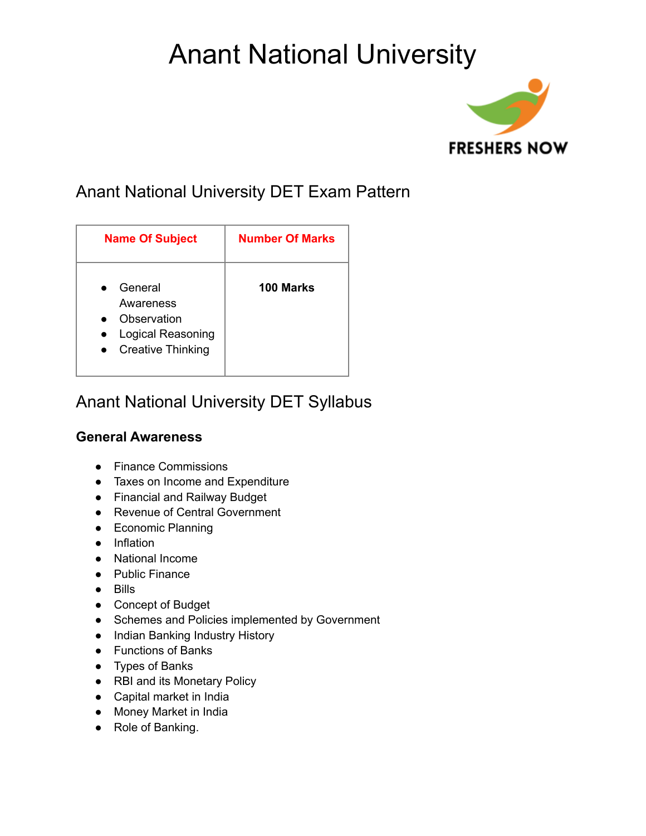# Anant National University



### Anant National University DET Exam Pattern

| <b>Name Of Subject</b>                                                               | <b>Number Of Marks</b> |
|--------------------------------------------------------------------------------------|------------------------|
| General<br>Awareness<br>Observation<br>Logical Reasoning<br><b>Creative Thinking</b> | 100 Marks              |

### Anant National University DET Syllabus

#### **General Awareness**

- Finance Commissions
- Taxes on Income and Expenditure
- Financial and Railway Budget
- Revenue of Central Government
- Economic Planning
- Inflation
- National Income
- Public Finance
- Bills
- Concept of Budget
- Schemes and Policies implemented by Government
- Indian Banking Industry History
- Functions of Banks
- Types of Banks
- RBI and its Monetary Policy
- Capital market in India
- Money Market in India
- Role of Banking.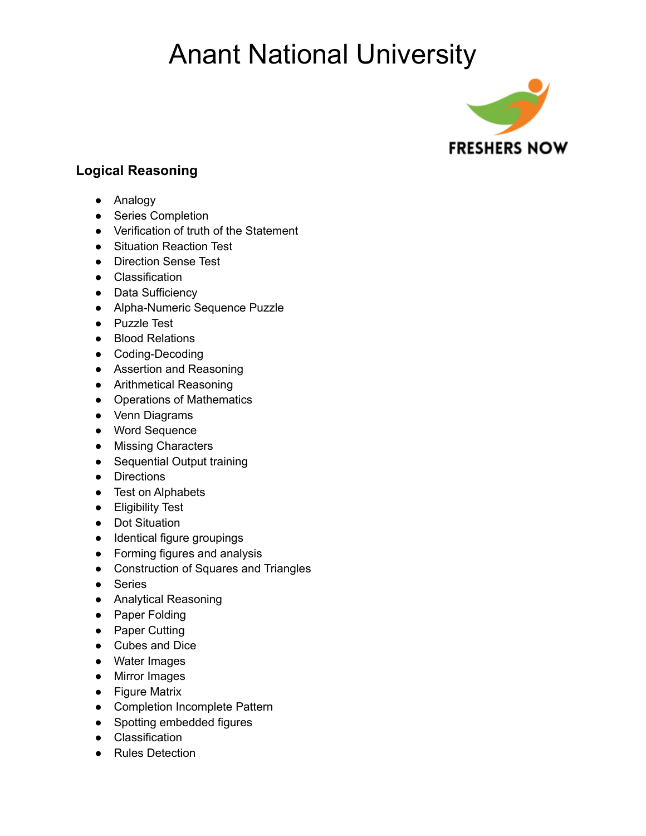## Anant National University



#### **Logical Reasoning**

- Analogy
- Series Completion
- Verification of truth of the Statement
- Situation Reaction Test
- Direction Sense Test
- Classification
- Data Sufficiency
- Alpha-Numeric Sequence Puzzle
- Puzzle Test
- Blood Relations
- Coding-Decoding
- Assertion and Reasoning
- Arithmetical Reasoning
- Operations of Mathematics
- Venn Diagrams
- Word Sequence
- Missing Characters
- Sequential Output training
- Directions
- Test on Alphabets
- Eligibility Test
- Dot Situation
- Identical figure groupings
- Forming figures and analysis
- Construction of Squares and Triangles
- Series
- Analytical Reasoning
- Paper Folding
- Paper Cutting
- Cubes and Dice
- Water Images
- Mirror Images
- Figure Matrix
- Completion Incomplete Pattern
- Spotting embedded figures
- Classification
- Rules Detection